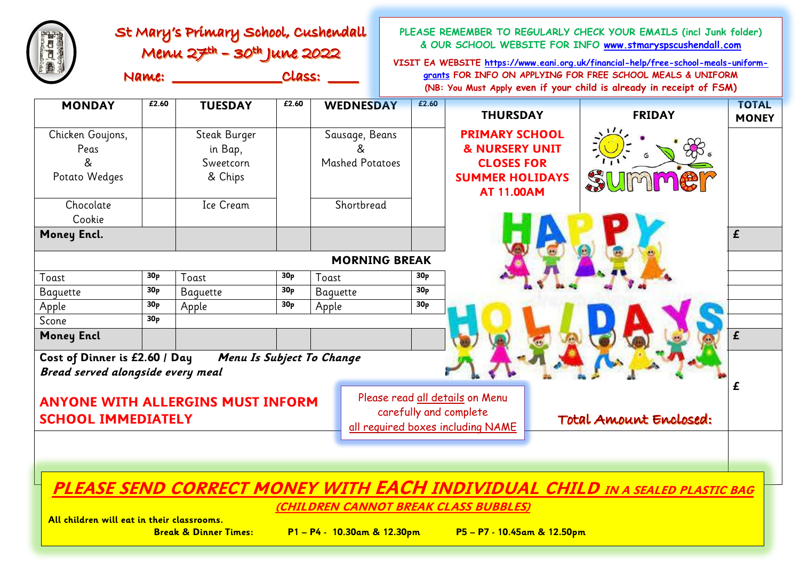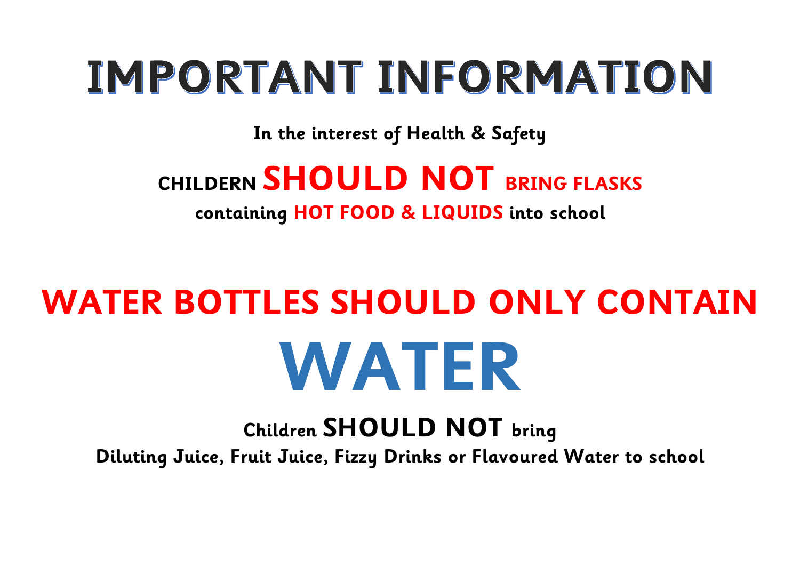## IMPORTANT INFORMATION

**In the interest of Health & Safety** 

## **CHILDERN SHOULD NOT BRING FLASKS containing HOT FOOD & LIQUIDS into school**

## **WATER BOTTLES SHOULD ONLY CONTAIN WATER**

**Children SHOULD NOT bring Diluting Juice, Fruit Juice, Fizzy Drinks or Flavoured Water to school**